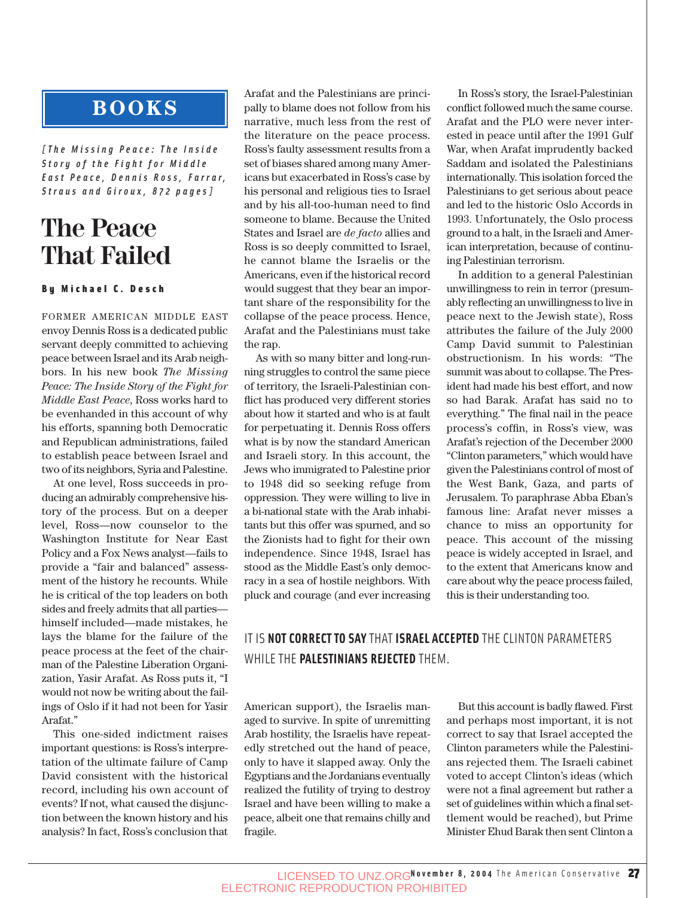## **BOOKS**

*[The Missing Peace: The Inside Story of the Fight for Middle East Peace, Dennis Ross, Farrar, Straus and Giroux, 872 pages]*

# **The Peace That Failed**

#### By Michael C. Desch

FORMER AMERICAN MIDDLE EAST envoy Dennis Ross is a dedicated public servant deeply committed to achieving peace between Israel and its Arab neighbors. In his new book *The Missing Peace: The Inside Story of the Fight for Middle East Peace*, Ross works hard to be evenhanded in this account of why his efforts, spanning both Democratic and Republican administrations, failed to establish peace between Israel and two of its neighbors, Syria and Palestine.

At one level, Ross succeeds in producing an admirably comprehensive history of the process. But on a deeper level, Ross—now counselor to the Washington Institute for Near East Policy and a Fox News analyst—fails to provide a "fair and balanced" assessment of the history he recounts. While he is critical of the top leaders on both sides and freely admits that all parties himself included—made mistakes, he lays the blame for the failure of the peace process at the feet of the chairman of the Palestine Liberation Organization, Yasir Arafat. As Ross puts it, "I would not now be writing about the failings of Oslo if it had not been for Yasir Arafat."

This one-sided indictment raises important questions: is Ross's interpretation of the ultimate failure of Camp David consistent with the historical record, including his own account of events? If not, what caused the disjunction between the known history and his analysis? In fact, Ross's conclusion that Arafat and the Palestinians are principally to blame does not follow from his narrative, much less from the rest of the literature on the peace process. Ross's faulty assessment results from a set of biases shared among many Americans but exacerbated in Ross's case by his personal and religious ties to Israel and by his all-too-human need to find someone to blame. Because the United States and Israel are *de facto* allies and Ross is so deeply committed to Israel, he cannot blame the Israelis or the Americans, even if the historical record would suggest that they bear an important share of the responsibility for the collapse of the peace process. Hence, Arafat and the Palestinians must take the rap.

As with so many bitter and long-running struggles to control the same piece of territory, the Israeli-Palestinian conflict has produced very different stories about how it started and who is at fault for perpetuating it. Dennis Ross offers what is by now the standard American and Israeli story. In this account, the Jews who immigrated to Palestine prior to 1948 did so seeking refuge from oppression. They were willing to live in a bi-national state with the Arab inhabitants but this offer was spurned, and so the Zionists had to fight for their own independence. Since 1948, Israel has stood as the Middle East's only democracy in a sea of hostile neighbors. With pluck and courage (and ever increasing

In Ross's story, the Israel-Palestinian conflict followed much the same course. Arafat and the PLO were never interested in peace until after the 1991 Gulf War, when Arafat imprudently backed Saddam and isolated the Palestinians internationally. This isolation forced the Palestinians to get serious about peace and led to the historic Oslo Accords in 1993. Unfortunately, the Oslo process ground to a halt, in the Israeli and American interpretation, because of continuing Palestinian terrorism.

In addition to a general Palestinian unwillingness to rein in terror (presumably reflecting an unwillingness to live in peace next to the Jewish state), Ross attributes the failure of the July 2000 Camp David summit to Palestinian obstructionism. In his words: "The summit was about to collapse. The President had made his best effort, and now so had Barak. Arafat has said no to everything." The final nail in the peace process's coffin, in Ross's view, was Arafat's rejection of the December 2000 "Clinton parameters," which would have given the Palestinians control of most of the West Bank, Gaza, and parts of Jerusalem. To paraphrase Abba Eban's famous line: Arafat never misses a chance to miss an opportunity for peace. This account of the missing peace is widely accepted in Israel, and to the extent that Americans know and care about why the peace process failed, this is their understanding too.

### IT IS **NOT CORRECT TO SAY** THAT **ISRAEL ACCEPTED** THE CLINTON PARAMETERS WHILE THE **PALESTINIANS REJECTED** THEM.

American support), the Israelis managed to survive. In spite of unremitting Arab hostility, the Israelis have repeatedly stretched out the hand of peace, only to have it slapped away. Only the Egyptians and the Jordanians eventually realized the futility of trying to destroy Israel and have been willing to make a peace, albeit one that remains chilly and fragile.

But this account is badly flawed. First and perhaps most important, it is not correct to say that Israel accepted the Clinton parameters while the Palestinians rejected them. The Israeli cabinet voted to accept Clinton's ideas (which were not a final agreement but rather a set of guidelines within which a final settlement would be reached), but Prime Minister Ehud Barak then sent Clinton a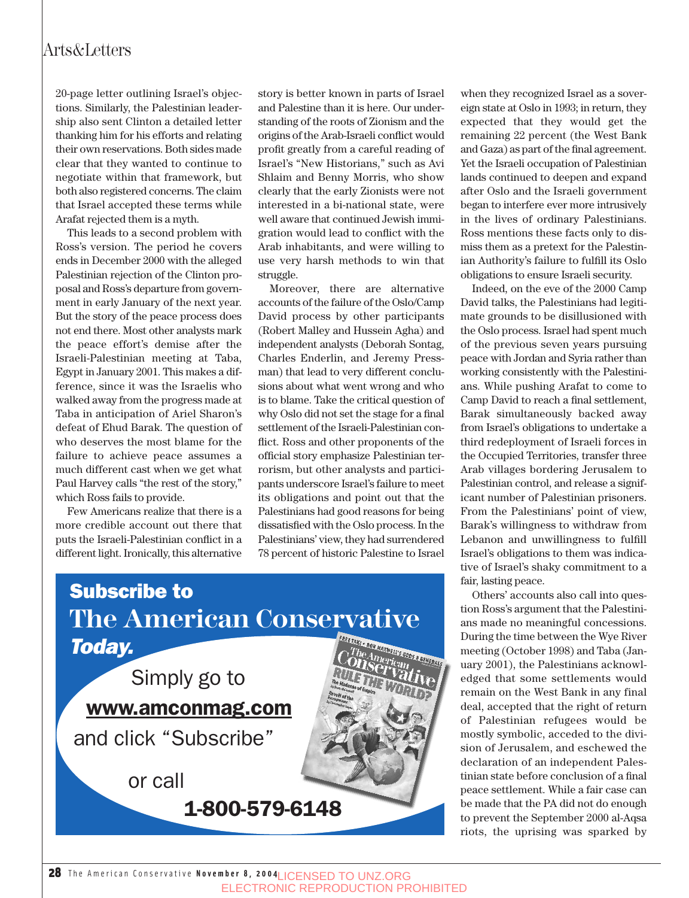20-page letter outlining Israel's objections. Similarly, the Palestinian leadership also sent Clinton a detailed letter thanking him for his efforts and relating their own reservations. Both sides made clear that they wanted to continue to negotiate within that framework, but both also registered concerns. The claim that Israel accepted these terms while Arafat rejected them is a myth.

This leads to a second problem with Ross's version. The period he covers ends in December 2000 with the alleged Palestinian rejection of the Clinton proposal and Ross's departure from government in early January of the next year. But the story of the peace process does not end there. Most other analysts mark the peace effort's demise after the Israeli-Palestinian meeting at Taba, Egypt in January 2001. This makes a difference, since it was the Israelis who walked away from the progress made at Taba in anticipation of Ariel Sharon's defeat of Ehud Barak. The question of who deserves the most blame for the failure to achieve peace assumes a much different cast when we get what Paul Harvey calls "the rest of the story," which Ross fails to provide.

Few Americans realize that there is a more credible account out there that puts the Israeli-Palestinian conflict in a different light. Ironically, this alternative

story is better known in parts of Israel and Palestine than it is here. Our understanding of the roots of Zionism and the origins of the Arab-Israeli conflict would profit greatly from a careful reading of Israel's "New Historians," such as Avi Shlaim and Benny Morris, who show clearly that the early Zionists were not interested in a bi-national state, were well aware that continued Jewish immigration would lead to conflict with the Arab inhabitants, and were willing to use very harsh methods to win that struggle.

Moreover, there are alternative accounts of the failure of the Oslo/Camp David process by other participants (Robert Malley and Hussein Agha) and independent analysts (Deborah Sontag, Charles Enderlin, and Jeremy Pressman) that lead to very different conclusions about what went wrong and who is to blame. Take the critical question of why Oslo did not set the stage for a final settlement of the Israeli-Palestinian conflict. Ross and other proponents of the official story emphasize Palestinian terrorism, but other analysts and participants underscore Israel's failure to meet its obligations and point out that the Palestinians had good reasons for being dissatisfied with the Oslo process. In the Palestinians' view, they had surrendered 78 percent of historic Palestine to Israel



when they recognized Israel as a sovereign state at Oslo in 1993; in return, they expected that they would get the remaining 22 percent (the West Bank and Gaza) as part of the final agreement. Yet the Israeli occupation of Palestinian lands continued to deepen and expand after Oslo and the Israeli government began to interfere ever more intrusively in the lives of ordinary Palestinians. Ross mentions these facts only to dismiss them as a pretext for the Palestinian Authority's failure to fulfill its Oslo obligations to ensure Israeli security.

Indeed, on the eve of the 2000 Camp David talks, the Palestinians had legitimate grounds to be disillusioned with the Oslo process. Israel had spent much of the previous seven years pursuing peace with Jordan and Syria rather than working consistently with the Palestinians. While pushing Arafat to come to Camp David to reach a final settlement, Barak simultaneously backed away from Israel's obligations to undertake a third redeployment of Israeli forces in the Occupied Territories, transfer three Arab villages bordering Jerusalem to Palestinian control, and release a significant number of Palestinian prisoners. From the Palestinians' point of view, Barak's willingness to withdraw from Lebanon and unwillingness to fulfill Israel's obligations to them was indicative of Israel's shaky commitment to a fair, lasting peace.

Others' accounts also call into question Ross's argument that the Palestinians made no meaningful concessions. During the time between the Wye River meeting (October 1998) and Taba (January 2001), the Palestinians acknowledged that some settlements would remain on the West Bank in any final deal, accepted that the right of return of Palestinian refugees would be mostly symbolic, acceded to the division of Jerusalem, and eschewed the declaration of an independent Palestinian state before conclusion of a final peace settlement. While a fair case can be made that the PA did not do enough to prevent the September 2000 al-Aqsa riots, the uprising was sparked by

28 The American Conservative **November 8, 2004** LICENSED TO UNZ.ORG ELECTRONIC REPRODUCTION PROHIBITED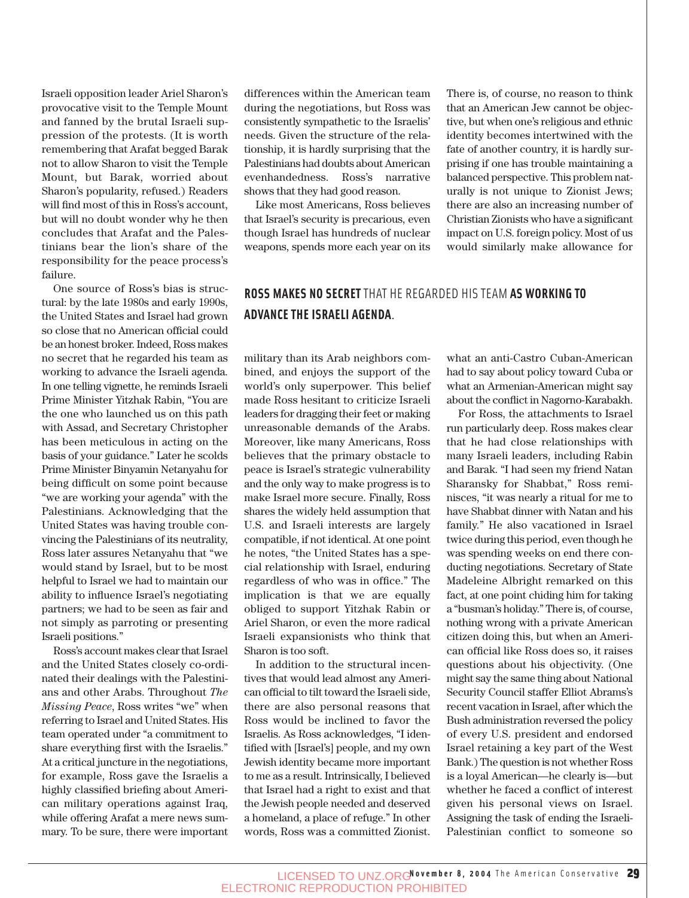Israeli opposition leader Ariel Sharon's provocative visit to the Temple Mount and fanned by the brutal Israeli suppression of the protests. (It is worth remembering that Arafat begged Barak not to allow Sharon to visit the Temple Mount, but Barak, worried about Sharon's popularity, refused.) Readers will find most of this in Ross's account, but will no doubt wonder why he then concludes that Arafat and the Palestinians bear the lion's share of the responsibility for the peace process's failure.

One source of Ross's bias is structural: by the late 1980s and early 1990s, the United States and Israel had grown so close that no American official could be an honest broker. Indeed, Ross makes no secret that he regarded his team as working to advance the Israeli agenda. In one telling vignette, he reminds Israeli Prime Minister Yitzhak Rabin, "You are the one who launched us on this path with Assad, and Secretary Christopher has been meticulous in acting on the basis of your guidance." Later he scolds Prime Minister Binyamin Netanyahu for being difficult on some point because "we are working your agenda" with the Palestinians. Acknowledging that the United States was having trouble convincing the Palestinians of its neutrality, Ross later assures Netanyahu that "we would stand by Israel, but to be most helpful to Israel we had to maintain our ability to influence Israel's negotiating partners; we had to be seen as fair and not simply as parroting or presenting Israeli positions."

Ross's account makes clear that Israel and the United States closely co-ordinated their dealings with the Palestinians and other Arabs. Throughout *The Missing Peace*, Ross writes "we" when referring to Israel and United States. His team operated under "a commitment to share everything first with the Israelis." At a critical juncture in the negotiations, for example, Ross gave the Israelis a highly classified briefing about American military operations against Iraq, while offering Arafat a mere news summary. To be sure, there were important differences within the American team during the negotiations, but Ross was consistently sympathetic to the Israelis' needs. Given the structure of the relationship, it is hardly surprising that the Palestinians had doubts about American evenhandedness. Ross's narrative shows that they had good reason.

Like most Americans, Ross believes that Israel's security is precarious, even though Israel has hundreds of nuclear weapons, spends more each year on its There is, of course, no reason to think that an American Jew cannot be objective, but when one's religious and ethnic identity becomes intertwined with the fate of another country, it is hardly surprising if one has trouble maintaining a balanced perspective. This problem naturally is not unique to Zionist Jews; there are also an increasing number of Christian Zionists who have a significant impact on U.S. foreign policy. Most of us would similarly make allowance for

#### **ROSS MAKES NO SECRET** THAT HE REGARDED HIS TEAM **AS WORKING TO ADVANCE THE ISRAELI AGENDA**.

military than its Arab neighbors combined, and enjoys the support of the world's only superpower. This belief made Ross hesitant to criticize Israeli leaders for dragging their feet or making unreasonable demands of the Arabs. Moreover, like many Americans, Ross believes that the primary obstacle to peace is Israel's strategic vulnerability and the only way to make progress is to make Israel more secure. Finally, Ross shares the widely held assumption that U.S. and Israeli interests are largely compatible, if not identical. At one point he notes, "the United States has a special relationship with Israel, enduring regardless of who was in office." The implication is that we are equally obliged to support Yitzhak Rabin or Ariel Sharon, or even the more radical Israeli expansionists who think that Sharon is too soft.

In addition to the structural incentives that would lead almost any American official to tilt toward the Israeli side, there are also personal reasons that Ross would be inclined to favor the Israelis. As Ross acknowledges, "I identified with [Israel's] people, and my own Jewish identity became more important to me as a result. Intrinsically, I believed that Israel had a right to exist and that the Jewish people needed and deserved a homeland, a place of refuge." In other words, Ross was a committed Zionist. what an anti-Castro Cuban-American had to say about policy toward Cuba or what an Armenian-American might say about the conflict in Nagorno-Karabakh.

For Ross, the attachments to Israel run particularly deep. Ross makes clear that he had close relationships with many Israeli leaders, including Rabin and Barak. "I had seen my friend Natan Sharansky for Shabbat," Ross reminisces, "it was nearly a ritual for me to have Shabbat dinner with Natan and his family." He also vacationed in Israel twice during this period, even though he was spending weeks on end there conducting negotiations. Secretary of State Madeleine Albright remarked on this fact, at one point chiding him for taking a "busman's holiday." There is, of course, nothing wrong with a private American citizen doing this, but when an American official like Ross does so, it raises questions about his objectivity. (One might say the same thing about National Security Council staffer Elliot Abrams's recent vacation in Israel, after which the Bush administration reversed the policy of every U.S. president and endorsed Israel retaining a key part of the West Bank.) The question is not whether Ross is a loyal American—he clearly is—but whether he faced a conflict of interest given his personal views on Israel. Assigning the task of ending the Israeli-Palestinian conflict to someone so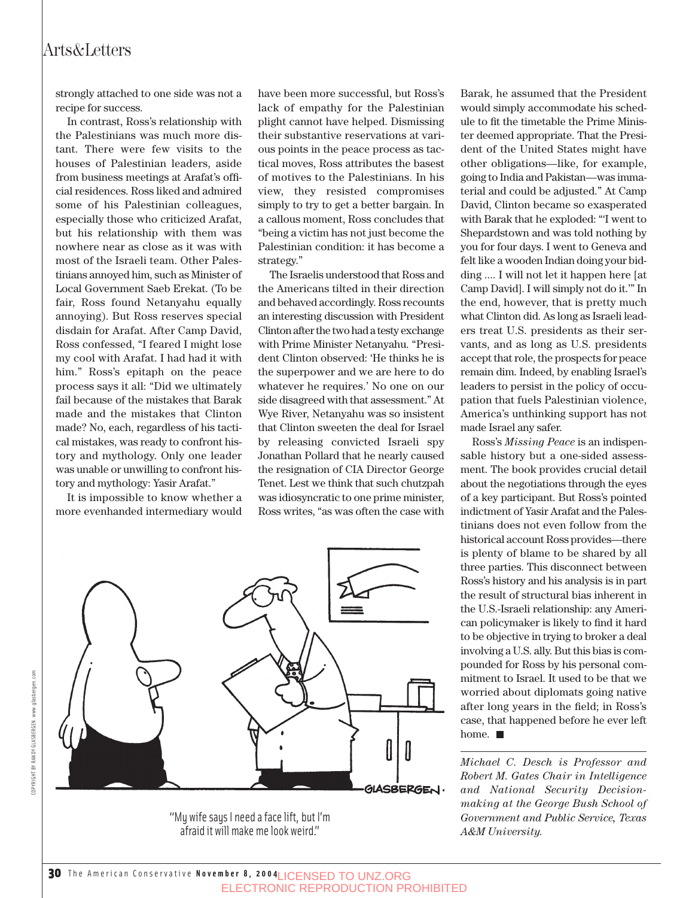strongly attached to one side was not a recipe for success.

In contrast, Ross's relationship with the Palestinians was much more distant. There were few visits to the houses of Palestinian leaders, aside from business meetings at Arafat's official residences. Ross liked and admired some of his Palestinian colleagues, especially those who criticized Arafat, but his relationship with them was nowhere near as close as it was with most of the Israeli team. Other Palestinians annoyed him, such as Minister of Local Government Saeb Erekat. (To be fair, Ross found Netanyahu equally annoying). But Ross reserves special disdain for Arafat. After Camp David, Ross confessed, "I feared I might lose my cool with Arafat. I had had it with him." Ross's epitaph on the peace process says it all: "Did we ultimately fail because of the mistakes that Barak made and the mistakes that Clinton made? No, each, regardless of his tactical mistakes, was ready to confront history and mythology. Only one leader was unable or unwilling to confront history and mythology: Yasir Arafat."

It is impossible to know whether a more evenhanded intermediary would

have been more successful, but Ross's lack of empathy for the Palestinian plight cannot have helped. Dismissing their substantive reservations at various points in the peace process as tactical moves, Ross attributes the basest of motives to the Palestinians. In his view, they resisted compromises simply to try to get a better bargain. In a callous moment, Ross concludes that "being a victim has not just become the Palestinian condition: it has become a strategy."

The Israelis understood that Ross and the Americans tilted in their direction and behaved accordingly. Ross recounts an interesting discussion with President Clinton after the two had a testy exchange with Prime Minister Netanyahu. "President Clinton observed: 'He thinks he is the superpower and we are here to do whatever he requires.' No one on our side disagreed with that assessment." At Wye River, Netanyahu was so insistent that Clinton sweeten the deal for Israel by releasing convicted Israeli spy Jonathan Pollard that he nearly caused the resignation of CIA Director George Tenet. Lest we think that such chutzpah was idiosyncratic to one prime minister, Ross writes, "as was often the case with



"My wife says I need a face lift, but I'm afraid it will make me look weird."

Barak, he assumed that the President would simply accommodate his schedule to fit the timetable the Prime Minister deemed appropriate. That the President of the United States might have other obligations—like, for example, going to India and Pakistan—was immaterial and could be adjusted." At Camp David, Clinton became so exasperated with Barak that he exploded: "'I went to Shepardstown and was told nothing by you for four days. I went to Geneva and felt like a wooden Indian doing your bidding .... I will not let it happen here [at Camp David]. I will simply not do it.'" In the end, however, that is pretty much what Clinton did. As long as Israeli leaders treat U.S. presidents as their servants, and as long as U.S. presidents accept that role, the prospects for peace remain dim. Indeed, by enabling Israel's leaders to persist in the policy of occupation that fuels Palestinian violence, America's unthinking support has not made Israel any safer.

Ross's *Missing Peace* is an indispensable history but a one-sided assessment. The book provides crucial detail about the negotiations through the eyes of a key participant. But Ross's pointed indictment of Yasir Arafat and the Palestinians does not even follow from the historical account Ross provides—there is plenty of blame to be shared by all three parties. This disconnect between Ross's history and his analysis is in part the result of structural bias inherent in the U.S.-Israeli relationship: any American policymaker is likely to find it hard to be objective in trying to broker a deal involving a U.S. ally. But this bias is compounded for Ross by his personal commitment to Israel. It used to be that we worried about diplomats going native after long years in the field; in Ross's case, that happened before he ever left home.

*Michael C. Desch is Professor and Robert M. Gates Chair in Intelligence and National Security Decisionmaking at the George Bush School of Government and Public Service, Texas A&M University.*